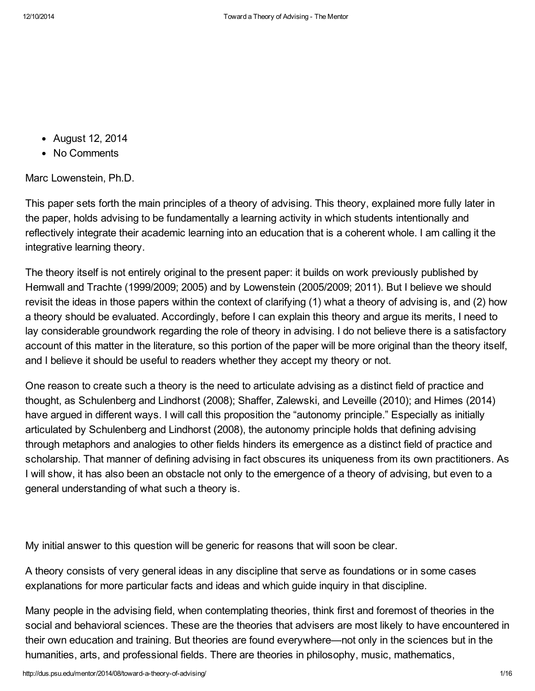- August 12, 2014
- No Comments

Marc Lowenstein, Ph.D.

This paper sets forth the main principles of a theory of advising. This theory, explained more fully later in the paper, holds advising to be fundamentally a learning activity in which students intentionally and reflectively integrate their academic learning into an education that is a coherent whole. I am calling it the integrative learning theory.

The theory itself is not entirely original to the present paper: it builds on work previously published by Hemwall and Trachte (1999/2009; 2005) and by Lowenstein (2005/2009; 2011). But I believe we should revisit the ideas in those papers within the context of clarifying (1) what a theory of advising is, and (2) how a theory should be evaluated. Accordingly, before I can explain this theory and argue its merits, I need to lay considerable groundwork regarding the role of theory in advising. I do not believe there is a satisfactory account of this matter in the literature, so this portion of the paper will be more original than the theory itself, and I believe it should be useful to readers whether they accept my theory or not.

One reason to create such a theory is the need to articulate advising as a distinct field of practice and thought, as Schulenberg and Lindhorst (2008); Shaffer, Zalewski, and Leveille (2010); and Himes (2014) have argued in different ways. I will call this proposition the "autonomy principle." Especially as initially articulated by Schulenberg and Lindhorst (2008), the autonomy principle holds that defining advising through metaphors and analogies to other fields hinders its emergence as a distinct field of practice and scholarship. That manner of defining advising in fact obscures its uniqueness from its own practitioners. As I will show, it has also been an obstacle not only to the emergence of a theory of advising, but even to a general understanding of what such a theory is.

My initial answer to this question will be generic for reasons that will soon be clear.

A theory consists of very general ideas in any discipline that serve as foundations or in some cases explanations for more particular facts and ideas and which guide inquiry in that discipline.

Many people in the advising field, when contemplating theories, think first and foremost of theories in the social and behavioral sciences. These are the theories that advisers are most likely to have encountered in their own education and training. But theories are found everywhere—not only in the sciences but in the humanities, arts, and professional fields. There are theories in philosophy, music, mathematics,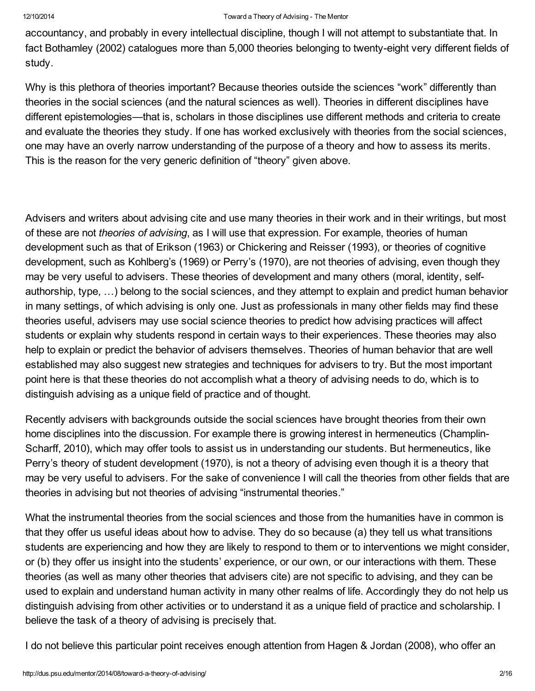accountancy, and probably in every intellectual discipline, though I will not attempt to substantiate that. In fact Bothamley (2002) catalogues more than 5,000 theories belonging to twenty-eight very different fields of study.

Why is this plethora of theories important? Because theories outside the sciences "work" differently than theories in the social sciences (and the natural sciences as well). Theories in different disciplines have different epistemologies—that is, scholars in those disciplines use different methods and criteria to create and evaluate the theories they study. If one has worked exclusively with theories from the social sciences, one may have an overly narrow understanding of the purpose of a theory and how to assess its merits. This is the reason for the very generic definition of "theory" given above.

Advisers and writers about advising cite and use many theories in their work and in their writings, but most of these are not *theories of advising*, as I will use that expression. For example, theories of human development such as that of Erikson (1963) or Chickering and Reisser (1993), or theories of cognitive development, such as Kohlberg's (1969) or Perry's (1970), are not theories of advising, even though they may be very useful to advisers. These theories of development and many others (moral, identity, selfauthorship, type, …) belong to the social sciences, and they attempt to explain and predict human behavior in many settings, of which advising is only one. Just as professionals in many other fields may find these theories useful, advisers may use social science theories to predict how advising practices will affect students or explain why students respond in certain ways to their experiences. These theories may also help to explain or predict the behavior of advisers themselves. Theories of human behavior that are well established may also suggest new strategies and techniques for advisers to try. But the most important point here is that these theories do not accomplish what a theory of advising needs to do, which is to distinguish advising as a unique field of practice and of thought.

Recently advisers with backgrounds outside the social sciences have brought theories from their own home disciplines into the discussion. For example there is growing interest in hermeneutics (Champlin-Scharff, 2010), which may offer tools to assist us in understanding our students. But hermeneutics, like Perry's theory of student development (1970), is not a theory of advising even though it is a theory that may be very useful to advisers. For the sake of convenience I will call the theories from other fields that are theories in advising but not theories of advising "instrumental theories."

What the instrumental theories from the social sciences and those from the humanities have in common is that they offer us useful ideas about how to advise. They do so because (a) they tell us what transitions students are experiencing and how they are likely to respond to them or to interventions we might consider, or (b) they offer us insight into the students' experience, or our own, or our interactions with them. These theories (as well as many other theories that advisers cite) are not specific to advising, and they can be used to explain and understand human activity in many other realms of life. Accordingly they do not help us distinguish advising from other activities or to understand it as a unique field of practice and scholarship. I believe the task of a theory of advising is precisely that.

I do not believe this particular point receives enough attention from Hagen & Jordan (2008), who offer an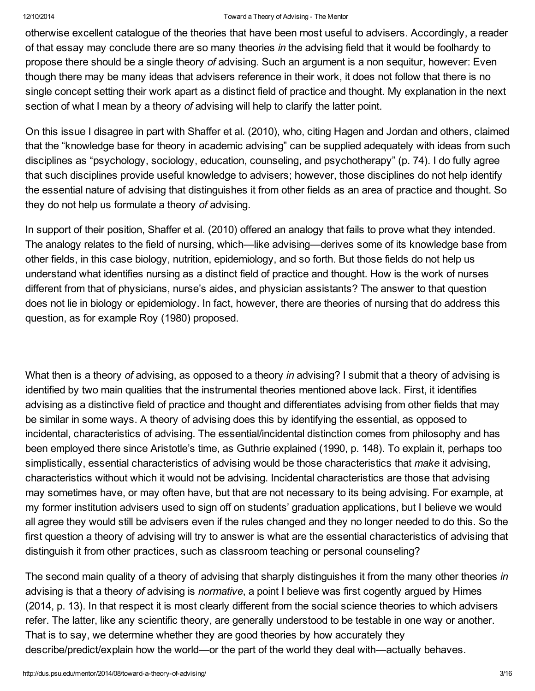otherwise excellent catalogue of the theories that have been most useful to advisers. Accordingly, a reader of that essay may conclude there are so many theories *in* the advising field that it would be foolhardy to propose there should be a single theory *of* advising. Such an argument is a non sequitur, however: Even though there may be many ideas that advisers reference in their work, it does not follow that there is no single concept setting their work apart as a distinct field of practice and thought. My explanation in the next section of what I mean by a theory *of* advising will help to clarify the latter point.

On this issue I disagree in part with Shaffer et al. (2010), who, citing Hagen and Jordan and others, claimed that the "knowledge base for theory in academic advising" can be supplied adequately with ideas from such disciplines as "psychology, sociology, education, counseling, and psychotherapy" (p. 74). I do fully agree that such disciplines provide useful knowledge to advisers; however, those disciplines do not help identify the essential nature of advising that distinguishes it from other fields as an area of practice and thought. So they do not help us formulate a theory *of* advising.

In support of their position, Shaffer et al. (2010) offered an analogy that fails to prove what they intended. The analogy relates to the field of nursing, which—like advising—derives some of its knowledge base from other fields, in this case biology, nutrition, epidemiology, and so forth. But those fields do not help us understand what identifies nursing as a distinct field of practice and thought. How is the work of nurses different from that of physicians, nurse's aides, and physician assistants? The answer to that question does not lie in biology or epidemiology. In fact, however, there are theories of nursing that do address this question, as for example Roy (1980) proposed.

What then is a theory *of* advising, as opposed to a theory *in* advising? I submit that a theory of advising is identified by two main qualities that the instrumental theories mentioned above lack. First, it identifies advising as a distinctive field of practice and thought and differentiates advising from other fields that may be similar in some ways. A theory of advising does this by identifying the essential, as opposed to incidental, characteristics of advising. The essential/incidental distinction comes from philosophy and has been employed there since Aristotle's time, as Guthrie explained (1990, p. 148). To explain it, perhaps too simplistically, essential characteristics of advising would be those characteristics that *make* it advising, characteristics without which it would not be advising. Incidental characteristics are those that advising may sometimes have, or may often have, but that are not necessary to its being advising. For example, at my former institution advisers used to sign off on students' graduation applications, but I believe we would all agree they would still be advisers even if the rules changed and they no longer needed to do this. So the first question a theory of advising will try to answer is what are the essential characteristics of advising that distinguish it from other practices, such as classroom teaching or personal counseling?

The second main quality of a theory of advising that sharply distinguishes it from the many other theories *in* advising is that a theory *of* advising is *normative*, a point I believe was first cogently argued by Himes (2014, p. 13). In that respect it is most clearly different from the social science theories to which advisers refer. The latter, like any scientific theory, are generally understood to be testable in one way or another. That is to say, we determine whether they are good theories by how accurately they describe/predict/explain how the world—or the part of the world they deal with—actually behaves.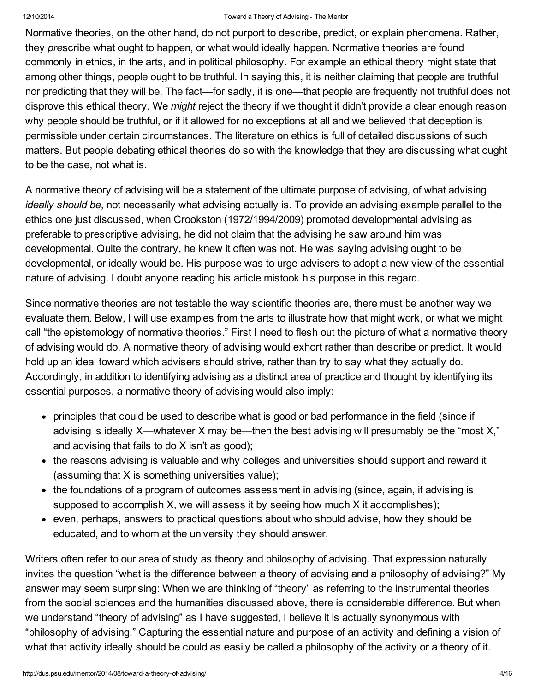Normative theories, on the other hand, do not purport to describe, predict, or explain phenomena. Rather, they *pre*scribe what ought to happen, or what would ideally happen. Normative theories are found commonly in ethics, in the arts, and in political philosophy. For example an ethical theory might state that among other things, people ought to be truthful. In saying this, it is neither claiming that people are truthful nor predicting that they will be. The fact—for sadly, it is one—that people are frequently not truthful does not disprove this ethical theory. We *might* reject the theory if we thought it didn't provide a clear enough reason why people should be truthful, or if it allowed for no exceptions at all and we believed that deception is permissible under certain circumstances. The literature on ethics is full of detailed discussions of such matters. But people debating ethical theories do so with the knowledge that they are discussing what ought to be the case, not what is.

A normative theory of advising will be a statement of the ultimate purpose of advising, of what advising *ideally should be*, not necessarily what advising actually is. To provide an advising example parallel to the ethics one just discussed, when Crookston (1972/1994/2009) promoted developmental advising as preferable to prescriptive advising, he did not claim that the advising he saw around him was developmental. Quite the contrary, he knew it often was not. He was saying advising ought to be developmental, or ideally would be. His purpose was to urge advisers to adopt a new view of the essential nature of advising. I doubt anyone reading his article mistook his purpose in this regard.

Since normative theories are not testable the way scientific theories are, there must be another way we evaluate them. Below, I will use examples from the arts to illustrate how that might work, or what we might call "the epistemology of normative theories." First I need to flesh out the picture of what a normative theory of advising would do. A normative theory of advising would exhort rather than describe or predict. It would hold up an ideal toward which advisers should strive, rather than try to say what they actually do. Accordingly, in addition to identifying advising as a distinct area of practice and thought by identifying its essential purposes, a normative theory of advising would also imply:

- principles that could be used to describe what is good or bad performance in the field (since if advising is ideally X—whatever X may be—then the best advising will presumably be the "most X," and advising that fails to do X isn't as good);
- the reasons advising is valuable and why colleges and universities should support and reward it (assuming that X is something universities value);
- the foundations of a program of outcomes assessment in advising (since, again, if advising is supposed to accomplish X, we will assess it by seeing how much X it accomplishes);
- even, perhaps, answers to practical questions about who should advise, how they should be educated, and to whom at the university they should answer.

Writers often refer to our area of study as theory and philosophy of advising. That expression naturally invites the question "what is the difference between a theory of advising and a philosophy of advising?" My answer may seem surprising: When we are thinking of "theory" as referring to the instrumental theories from the social sciences and the humanities discussed above, there is considerable difference. But when we understand "theory of advising" as I have suggested, I believe it is actually synonymous with "philosophy of advising." Capturing the essential nature and purpose of an activity and defining a vision of what that activity ideally should be could as easily be called a philosophy of the activity or a theory of it.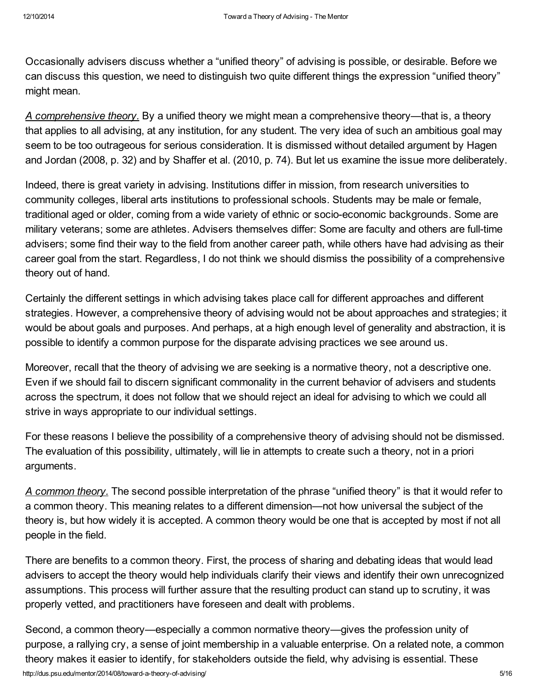Occasionally advisers discuss whether a "unified theory" of advising is possible, or desirable. Before we can discuss this question, we need to distinguish two quite different things the expression "unified theory" might mean.

*A comprehensive theory.* By a unified theory we might mean a comprehensive theory—that is, a theory that applies to all advising, at any institution, for any student. The very idea of such an ambitious goal may seem to be too outrageous for serious consideration. It is dismissed without detailed argument by Hagen and Jordan (2008, p. 32) and by Shaffer et al. (2010, p. 74). But let us examine the issue more deliberately.

Indeed, there is great variety in advising. Institutions differ in mission, from research universities to community colleges, liberal arts institutions to professional schools. Students may be male or female, traditional aged or older, coming from a wide variety of ethnic or socio-economic backgrounds. Some are military veterans; some are athletes. Advisers themselves differ: Some are faculty and others are full-time advisers; some find their way to the field from another career path, while others have had advising as their career goal from the start. Regardless, I do not think we should dismiss the possibility of a comprehensive theory out of hand.

Certainly the different settings in which advising takes place call for different approaches and different strategies. However, a comprehensive theory of advising would not be about approaches and strategies; it would be about goals and purposes. And perhaps, at a high enough level of generality and abstraction, it is possible to identify a common purpose for the disparate advising practices we see around us.

Moreover, recall that the theory of advising we are seeking is a normative theory, not a descriptive one. Even if we should fail to discern significant commonality in the current behavior of advisers and students across the spectrum, it does not follow that we should reject an ideal for advising to which we could all strive in ways appropriate to our individual settings.

For these reasons I believe the possibility of a comprehensive theory of advising should not be dismissed. The evaluation of this possibility, ultimately, will lie in attempts to create such a theory, not in a priori arguments.

*A common theory.* The second possible interpretation of the phrase "unified theory" is that it would refer to a common theory. This meaning relates to a different dimension—not how universal the subject of the theory is, but how widely it is accepted. A common theory would be one that is accepted by most if not all people in the field.

There are benefits to a common theory. First, the process of sharing and debating ideas that would lead advisers to accept the theory would help individuals clarify their views and identify their own unrecognized assumptions. This process will further assure that the resulting product can stand up to scrutiny, it was properly vetted, and practitioners have foreseen and dealt with problems.

http://dus.psu.edu/mentor/2014/08/toward-a-theory-of-advising/ 5/16 Second, a common theory—especially a common normative theory—gives the profession unity of purpose, a rallying cry, a sense of joint membership in a valuable enterprise. On a related note, a common theory makes it easier to identify, for stakeholders outside the field, why advising is essential. These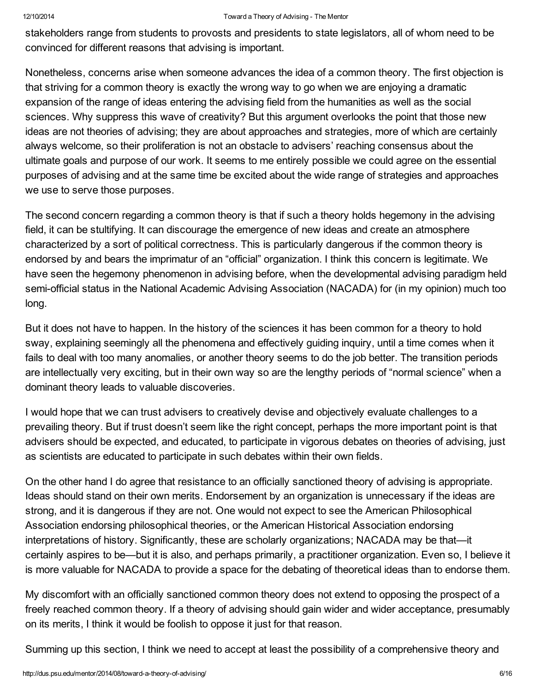stakeholders range from students to provosts and presidents to state legislators, all of whom need to be convinced for different reasons that advising is important.

Nonetheless, concerns arise when someone advances the idea of a common theory. The first objection is that striving for a common theory is exactly the wrong way to go when we are enjoying a dramatic expansion of the range of ideas entering the advising field from the humanities as well as the social sciences. Why suppress this wave of creativity? But this argument overlooks the point that those new ideas are not theories of advising; they are about approaches and strategies, more of which are certainly always welcome, so their proliferation is not an obstacle to advisers' reaching consensus about the ultimate goals and purpose of our work. It seems to me entirely possible we could agree on the essential purposes of advising and at the same time be excited about the wide range of strategies and approaches we use to serve those purposes.

The second concern regarding a common theory is that if such a theory holds hegemony in the advising field, it can be stultifying. It can discourage the emergence of new ideas and create an atmosphere characterized by a sort of political correctness. This is particularly dangerous if the common theory is endorsed by and bears the imprimatur of an "official" organization. I think this concern is legitimate. We have seen the hegemony phenomenon in advising before, when the developmental advising paradigm held semi-official status in the National Academic Advising Association (NACADA) for (in my opinion) much too long.

But it does not have to happen. In the history of the sciences it has been common for a theory to hold sway, explaining seemingly all the phenomena and effectively guiding inquiry, until a time comes when it fails to deal with too many anomalies, or another theory seems to do the job better. The transition periods are intellectually very exciting, but in their own way so are the lengthy periods of "normal science" when a dominant theory leads to valuable discoveries.

I would hope that we can trust advisers to creatively devise and objectively evaluate challenges to a prevailing theory. But if trust doesn't seem like the right concept, perhaps the more important point is that advisers should be expected, and educated, to participate in vigorous debates on theories of advising, just as scientists are educated to participate in such debates within their own fields.

On the other hand I do agree that resistance to an officially sanctioned theory of advising is appropriate. Ideas should stand on their own merits. Endorsement by an organization is unnecessary if the ideas are strong, and it is dangerous if they are not. One would not expect to see the American Philosophical Association endorsing philosophical theories, or the American Historical Association endorsing interpretations of history. Significantly, these are scholarly organizations; NACADA may be that—it certainly aspires to be—but it is also, and perhaps primarily, a practitioner organization. Even so, I believe it is more valuable for NACADA to provide a space for the debating of theoretical ideas than to endorse them.

My discomfort with an officially sanctioned common theory does not extend to opposing the prospect of a freely reached common theory. If a theory of advising should gain wider and wider acceptance, presumably on its merits, I think it would be foolish to oppose it just for that reason.

Summing up this section, I think we need to accept at least the possibility of a comprehensive theory and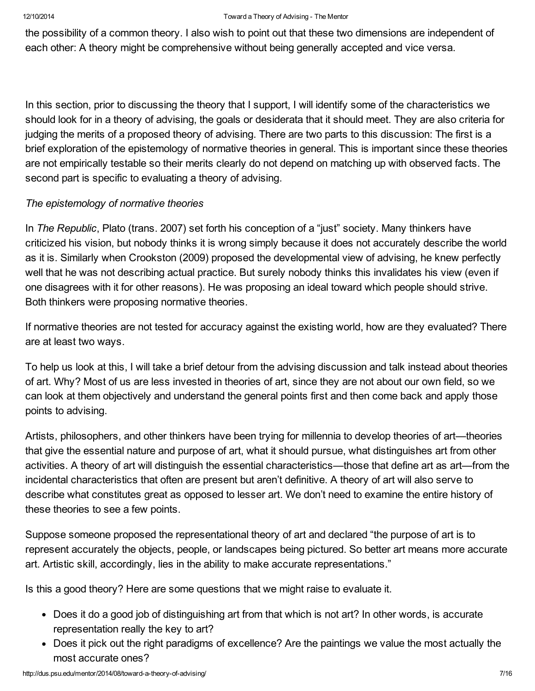the possibility of a common theory. I also wish to point out that these two dimensions are independent of each other: A theory might be comprehensive without being generally accepted and vice versa.

In this section, prior to discussing the theory that I support, I will identify some of the characteristics we should look for in a theory of advising, the goals or desiderata that it should meet. They are also criteria for judging the merits of a proposed theory of advising. There are two parts to this discussion: The first is a brief exploration of the epistemology of normative theories in general. This is important since these theories are not empirically testable so their merits clearly do not depend on matching up with observed facts. The second part is specific to evaluating a theory of advising.

# *The epistemology of normative theories*

In *The Republic*, Plato (trans. 2007) set forth his conception of a "just" society. Many thinkers have criticized his vision, but nobody thinks it is wrong simply because it does not accurately describe the world as it is. Similarly when Crookston (2009) proposed the developmental view of advising, he knew perfectly well that he was not describing actual practice. But surely nobody thinks this invalidates his view (even if one disagrees with it for other reasons). He was proposing an ideal toward which people should strive. Both thinkers were proposing normative theories.

If normative theories are not tested for accuracy against the existing world, how are they evaluated? There are at least two ways.

To help us look at this, I will take a brief detour from the advising discussion and talk instead about theories of art. Why? Most of us are less invested in theories of art, since they are not about our own field, so we can look at them objectively and understand the general points first and then come back and apply those points to advising.

Artists, philosophers, and other thinkers have been trying for millennia to develop theories of art—theories that give the essential nature and purpose of art, what it should pursue, what distinguishes art from other activities. A theory of art will distinguish the essential characteristics—those that define art as art—from the incidental characteristics that often are present but aren't definitive. A theory of art will also serve to describe what constitutes great as opposed to lesser art. We don't need to examine the entire history of these theories to see a few points.

Suppose someone proposed the representational theory of art and declared "the purpose of art is to represent accurately the objects, people, or landscapes being pictured. So better art means more accurate art. Artistic skill, accordingly, lies in the ability to make accurate representations."

Is this a good theory? Here are some questions that we might raise to evaluate it.

- Does it do a good job of distinguishing art from that which is not art? In other words, is accurate representation really the key to art?
- Does it pick out the right paradigms of excellence? Are the paintings we value the most actually the most accurate ones?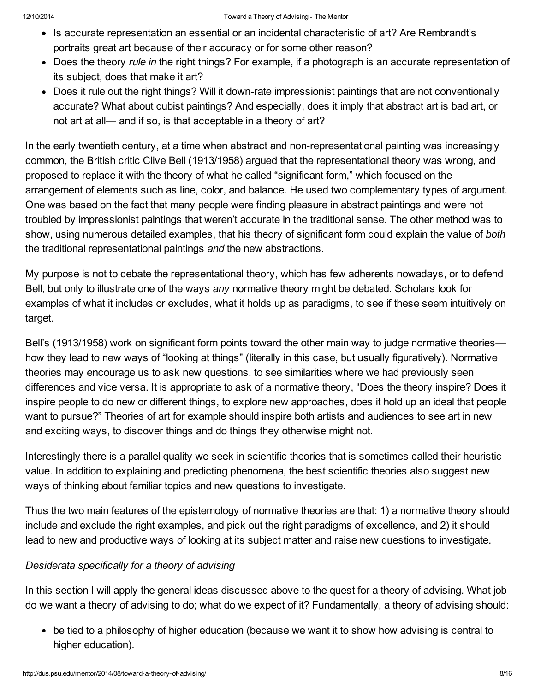- Is accurate representation an essential or an incidental characteristic of art? Are Rembrandt's portraits great art because of their accuracy or for some other reason?
- Does the theory *rule in* the right things? For example, if a photograph is an accurate representation of its subject, does that make it art?
- Does it rule out the right things? Will it down-rate impressionist paintings that are not conventionally accurate? What about cubist paintings? And especially, does it imply that abstract art is bad art, or not art at all— and if so, is that acceptable in a theory of art?

In the early twentieth century, at a time when abstract and non-representational painting was increasingly common, the British critic Clive Bell (1913/1958) argued that the representational theory was wrong, and proposed to replace it with the theory of what he called "significant form," which focused on the arrangement of elements such as line, color, and balance. He used two complementary types of argument. One was based on the fact that many people were finding pleasure in abstract paintings and were not troubled by impressionist paintings that weren't accurate in the traditional sense. The other method was to show, using numerous detailed examples, that his theory of significant form could explain the value of *both* the traditional representational paintings *and* the new abstractions.

My purpose is not to debate the representational theory, which has few adherents nowadays, or to defend Bell, but only to illustrate one of the ways *any* normative theory might be debated. Scholars look for examples of what it includes or excludes, what it holds up as paradigms, to see if these seem intuitively on target.

Bell's (1913/1958) work on significant form points toward the other main way to judge normative theories how they lead to new ways of "looking at things" (literally in this case, but usually figuratively). Normative theories may encourage us to ask new questions, to see similarities where we had previously seen differences and vice versa. It is appropriate to ask of a normative theory, "Does the theory inspire? Does it inspire people to do new or different things, to explore new approaches, does it hold up an ideal that people want to pursue?" Theories of art for example should inspire both artists and audiences to see art in new and exciting ways, to discover things and do things they otherwise might not.

Interestingly there is a parallel quality we seek in scientific theories that is sometimes called their heuristic value. In addition to explaining and predicting phenomena, the best scientific theories also suggest new ways of thinking about familiar topics and new questions to investigate.

Thus the two main features of the epistemology of normative theories are that: 1) a normative theory should include and exclude the right examples, and pick out the right paradigms of excellence, and 2) it should lead to new and productive ways of looking at its subject matter and raise new questions to investigate.

# *Desiderata specifically for a theory of advising*

In this section I will apply the general ideas discussed above to the quest for a theory of advising. What job do we want a theory of advising to do; what do we expect of it? Fundamentally, a theory of advising should:

• be tied to a philosophy of higher education (because we want it to show how advising is central to higher education).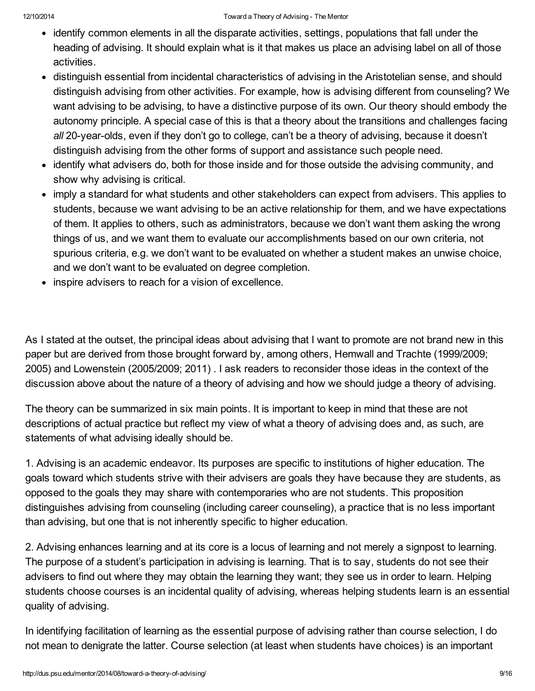- identify common elements in all the disparate activities, settings, populations that fall under the heading of advising. It should explain what is it that makes us place an advising label on all of those activities.
- distinguish essential from incidental characteristics of advising in the Aristotelian sense, and should distinguish advising from other activities. For example, how is advising different from counseling? We want advising to be advising, to have a distinctive purpose of its own. Our theory should embody the autonomy principle. A special case of this is that a theory about the transitions and challenges facing all 20-year-olds, even if they don't go to college, can't be a theory of advising, because it doesn't distinguish advising from the other forms of support and assistance such people need.
- identify what advisers do, both for those inside and for those outside the advising community, and show why advising is critical.
- imply a standard for what students and other stakeholders can expect from advisers. This applies to students, because we want advising to be an active relationship for them, and we have expectations of them. It applies to others, such as administrators, because we don't want them asking the wrong things of us, and we want them to evaluate our accomplishments based on our own criteria, not spurious criteria, e.g. we don't want to be evaluated on whether a student makes an unwise choice, and we don't want to be evaluated on degree completion.
- inspire advisers to reach for a vision of excellence.

As I stated at the outset, the principal ideas about advising that I want to promote are not brand new in this paper but are derived from those brought forward by, among others, Hemwall and Trachte (1999/2009; 2005) and Lowenstein (2005/2009; 2011) . I ask readers to reconsider those ideas in the context of the discussion above about the nature of a theory of advising and how we should judge a theory of advising.

The theory can be summarized in six main points. It is important to keep in mind that these are not descriptions of actual practice but reflect my view of what a theory of advising does and, as such, are statements of what advising ideally should be.

1. Advising is an academic endeavor. Its purposes are specific to institutions of higher education. The goals toward which students strive with their advisers are goals they have because they are students, as opposed to the goals they may share with contemporaries who are not students. This proposition distinguishes advising from counseling (including career counseling), a practice that is no less important than advising, but one that is not inherently specific to higher education.

2. Advising enhances learning and at its core is a locus of learning and not merely a signpost to learning. The purpose of a student's participation in advising is learning. That is to say, students do not see their advisers to find out where they may obtain the learning they want; they see us in order to learn. Helping students choose courses is an incidental quality of advising, whereas helping students learn is an essential quality of advising.

In identifying facilitation of learning as the essential purpose of advising rather than course selection, I do not mean to denigrate the latter. Course selection (at least when students have choices) is an important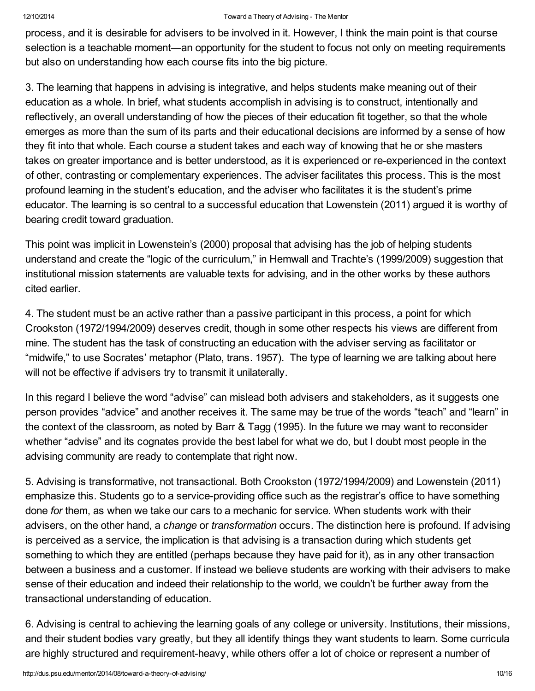process, and it is desirable for advisers to be involved in it. However, I think the main point is that course selection is a teachable moment—an opportunity for the student to focus not only on meeting requirements but also on understanding how each course fits into the big picture.

3. The learning that happens in advising is integrative, and helps students make meaning out of their education as a whole. In brief, what students accomplish in advising is to construct, intentionally and reflectively, an overall understanding of how the pieces of their education fit together, so that the whole emerges as more than the sum of its parts and their educational decisions are informed by a sense of how they fit into that whole. Each course a student takes and each way of knowing that he or she masters takes on greater importance and is better understood, as it is experienced or re-experienced in the context of other, contrasting or complementary experiences. The adviser facilitates this process. This is the most profound learning in the student's education, and the adviser who facilitates it is the student's prime educator. The learning is so central to a successful education that Lowenstein (2011) argued it is worthy of bearing credit toward graduation.

This point was implicit in Lowenstein's (2000) proposal that advising has the job of helping students understand and create the "logic of the curriculum," in Hemwall and Trachte's (1999/2009) suggestion that institutional mission statements are valuable texts for advising, and in the other works by these authors cited earlier.

4. The student must be an active rather than a passive participant in this process, a point for which Crookston (1972/1994/2009) deserves credit, though in some other respects his views are different from mine. The student has the task of constructing an education with the adviser serving as facilitator or "midwife," to use Socrates' metaphor (Plato, trans. 1957). The type of learning we are talking about here will not be effective if advisers try to transmit it unilaterally.

In this regard I believe the word "advise" can mislead both advisers and stakeholders, as it suggests one person provides "advice" and another receives it. The same may be true of the words "teach" and "learn" in the context of the classroom, as noted by Barr & Tagg (1995). In the future we may want to reconsider whether "advise" and its cognates provide the best label for what we do, but I doubt most people in the advising community are ready to contemplate that right now.

5. Advising is transformative, not transactional. Both Crookston (1972/1994/2009) and Lowenstein (2011) emphasize this. Students go to a service-providing office such as the registrar's office to have something done *for* them, as when we take our cars to a mechanic for service. When students work with their advisers, on the other hand, a *change* or *transformation* occurs. The distinction here is profound. If advising is perceived as a service, the implication is that advising is a transaction during which students get something to which they are entitled (perhaps because they have paid for it), as in any other transaction between a business and a customer. If instead we believe students are working with their advisers to make sense of their education and indeed their relationship to the world, we couldn't be further away from the transactional understanding of education.

6. Advising is central to achieving the learning goals of any college or university. Institutions, their missions, and their student bodies vary greatly, but they all identify things they want students to learn. Some curricula are highly structured and requirement-heavy, while others offer a lot of choice or represent a number of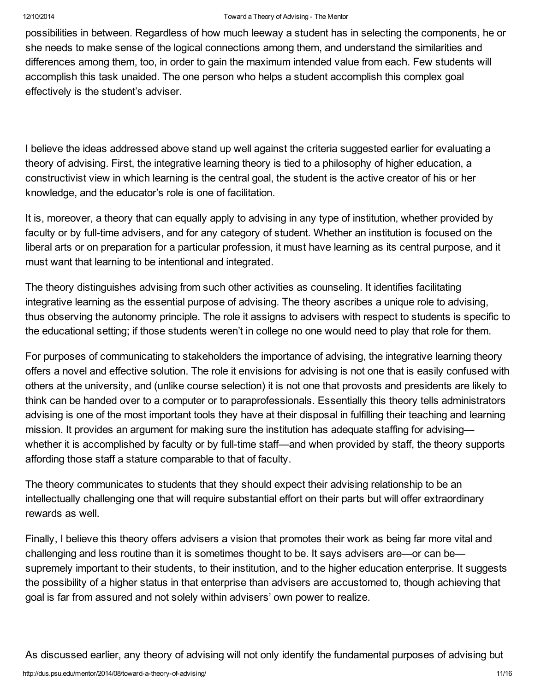possibilities in between. Regardless of how much leeway a student has in selecting the components, he or she needs to make sense of the logical connections among them, and understand the similarities and differences among them, too, in order to gain the maximum intended value from each. Few students will accomplish this task unaided. The one person who helps a student accomplish this complex goal effectively is the student's adviser.

I believe the ideas addressed above stand up well against the criteria suggested earlier for evaluating a theory of advising. First, the integrative learning theory is tied to a philosophy of higher education, a constructivist view in which learning is the central goal, the student is the active creator of his or her knowledge, and the educator's role is one of facilitation.

It is, moreover, a theory that can equally apply to advising in any type of institution, whether provided by faculty or by full-time advisers, and for any category of student. Whether an institution is focused on the liberal arts or on preparation for a particular profession, it must have learning as its central purpose, and it must want that learning to be intentional and integrated.

The theory distinguishes advising from such other activities as counseling. It identifies facilitating integrative learning as the essential purpose of advising. The theory ascribes a unique role to advising, thus observing the autonomy principle. The role it assigns to advisers with respect to students is specific to the educational setting; if those students weren't in college no one would need to play that role for them.

For purposes of communicating to stakeholders the importance of advising, the integrative learning theory offers a novel and effective solution. The role it envisions for advising is not one that is easily confused with others at the university, and (unlike course selection) it is not one that provosts and presidents are likely to think can be handed over to a computer or to paraprofessionals. Essentially this theory tells administrators advising is one of the most important tools they have at their disposal in fulfilling their teaching and learning mission. It provides an argument for making sure the institution has adequate staffing for advising whether it is accomplished by faculty or by full-time staff—and when provided by staff, the theory supports affording those staff a stature comparable to that of faculty.

The theory communicates to students that they should expect their advising relationship to be an intellectually challenging one that will require substantial effort on their parts but will offer extraordinary rewards as well.

Finally, I believe this theory offers advisers a vision that promotes their work as being far more vital and challenging and less routine than it is sometimes thought to be. It says advisers are—or can be supremely important to their students, to their institution, and to the higher education enterprise. It suggests the possibility of a higher status in that enterprise than advisers are accustomed to, though achieving that goal is far from assured and not solely within advisers' own power to realize.

As discussed earlier, any theory of advising will not only identify the fundamental purposes of advising but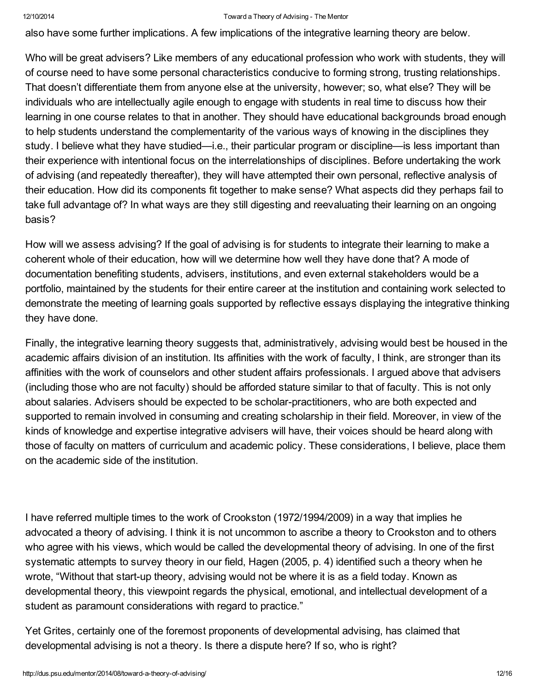also have some further implications. A few implications of the integrative learning theory are below.

Who will be great advisers? Like members of any educational profession who work with students, they will of course need to have some personal characteristics conducive to forming strong, trusting relationships. That doesn't differentiate them from anyone else at the university, however; so, what else? They will be individuals who are intellectually agile enough to engage with students in real time to discuss how their learning in one course relates to that in another. They should have educational backgrounds broad enough to help students understand the complementarity of the various ways of knowing in the disciplines they study. I believe what they have studied—i.e., their particular program or discipline—is less important than their experience with intentional focus on the interrelationships of disciplines. Before undertaking the work of advising (and repeatedly thereafter), they will have attempted their own personal, reflective analysis of their education. How did its components fit together to make sense? What aspects did they perhaps fail to take full advantage of? In what ways are they still digesting and reevaluating their learning on an ongoing basis?

How will we assess advising? If the goal of advising is for students to integrate their learning to make a coherent whole of their education, how will we determine how well they have done that? A mode of documentation benefiting students, advisers, institutions, and even external stakeholders would be a portfolio, maintained by the students for their entire career at the institution and containing work selected to demonstrate the meeting of learning goals supported by reflective essays displaying the integrative thinking they have done.

Finally, the integrative learning theory suggests that, administratively, advising would best be housed in the academic affairs division of an institution. Its affinities with the work of faculty, I think, are stronger than its affinities with the work of counselors and other student affairs professionals. I argued above that advisers (including those who are not faculty) should be afforded stature similar to that of faculty. This is not only about salaries. Advisers should be expected to be scholar-practitioners, who are both expected and supported to remain involved in consuming and creating scholarship in their field. Moreover, in view of the kinds of knowledge and expertise integrative advisers will have, their voices should be heard along with those of faculty on matters of curriculum and academic policy. These considerations, I believe, place them on the academic side of the institution.

I have referred multiple times to the work of Crookston (1972/1994/2009) in a way that implies he advocated a theory of advising. I think it is not uncommon to ascribe a theory to Crookston and to others who agree with his views, which would be called the developmental theory of advising. In one of the first systematic attempts to survey theory in our field, Hagen (2005, p. 4) identified such a theory when he wrote, "Without that start-up theory, advising would not be where it is as a field today. Known as developmental theory, this viewpoint regards the physical, emotional, and intellectual development of a student as paramount considerations with regard to practice."

Yet Grites, certainly one of the foremost proponents of developmental advising, has claimed that developmental advising is not a theory. Is there a dispute here? If so, who is right?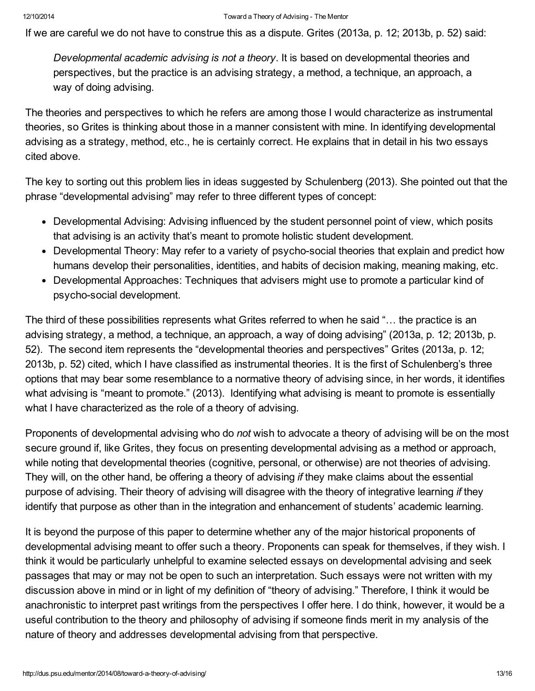If we are careful we do not have to construe this as a dispute. Grites (2013a, p. 12; 2013b, p. 52) said:

*Developmental academic advising is not a theory*. It is based on developmental theories and perspectives, but the practice is an advising strategy, a method, a technique, an approach, a way of doing advising.

The theories and perspectives to which he refers are among those I would characterize as instrumental theories, so Grites is thinking about those in a manner consistent with mine. In identifying developmental advising as a strategy, method, etc., he is certainly correct. He explains that in detail in his two essays cited above.

The key to sorting out this problem lies in ideas suggested by Schulenberg (2013). She pointed out that the phrase "developmental advising" may refer to three different types of concept:

- Developmental Advising: Advising influenced by the student personnel point of view, which posits that advising is an activity that's meant to promote holistic student development.
- Developmental Theory: May refer to a variety of psycho-social theories that explain and predict how humans develop their personalities, identities, and habits of decision making, meaning making, etc.
- Developmental Approaches: Techniques that advisers might use to promote a particular kind of psycho-social development.

The third of these possibilities represents what Grites referred to when he said "… the practice is an advising strategy, a method, a technique, an approach, a way of doing advising" (2013a, p. 12; 2013b, p. 52). The second item represents the "developmental theories and perspectives" Grites (2013a, p. 12; 2013b, p. 52) cited, which I have classified as instrumental theories. It is the first of Schulenberg's three options that may bear some resemblance to a normative theory of advising since, in her words, it identifies what advising is "meant to promote." (2013). Identifying what advising is meant to promote is essentially what I have characterized as the role of a theory of advising.

Proponents of developmental advising who do *not* wish to advocate a theory of advising will be on the most secure ground if, like Grites, they focus on presenting developmental advising as a method or approach, while noting that developmental theories (cognitive, personal, or otherwise) are not theories of advising. They will, on the other hand, be offering a theory of advising *if* they make claims about the essential purpose of advising. Their theory of advising will disagree with the theory of integrative learning *if* they identify that purpose as other than in the integration and enhancement of students' academic learning.

It is beyond the purpose of this paper to determine whether any of the major historical proponents of developmental advising meant to offer such a theory. Proponents can speak for themselves, if they wish. I think it would be particularly unhelpful to examine selected essays on developmental advising and seek passages that may or may not be open to such an interpretation. Such essays were not written with my discussion above in mind or in light of my definition of "theory of advising." Therefore, I think it would be anachronistic to interpret past writings from the perspectives I offer here. I do think, however, it would be a useful contribution to the theory and philosophy of advising if someone finds merit in my analysis of the nature of theory and addresses developmental advising from that perspective.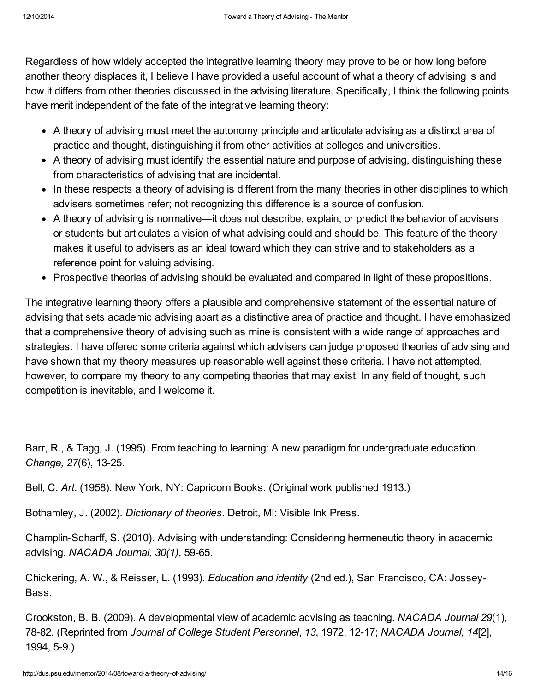Regardless of how widely accepted the integrative learning theory may prove to be or how long before another theory displaces it, I believe I have provided a useful account of what a theory of advising is and how it differs from other theories discussed in the advising literature. Specifically, I think the following points have merit independent of the fate of the integrative learning theory:

- A theory of advising must meet the autonomy principle and articulate advising as a distinct area of practice and thought, distinguishing it from other activities at colleges and universities.
- A theory of advising must identify the essential nature and purpose of advising, distinguishing these from characteristics of advising that are incidental.
- In these respects a theory of advising is different from the many theories in other disciplines to which advisers sometimes refer; not recognizing this difference is a source of confusion.
- A theory of advising is normative—it does not describe, explain, or predict the behavior of advisers or students but articulates a vision of what advising could and should be. This feature of the theory makes it useful to advisers as an ideal toward which they can strive and to stakeholders as a reference point for valuing advising.
- Prospective theories of advising should be evaluated and compared in light of these propositions.

The integrative learning theory offers a plausible and comprehensive statement of the essential nature of advising that sets academic advising apart as a distinctive area of practice and thought. I have emphasized that a comprehensive theory of advising such as mine is consistent with a wide range of approaches and strategies. I have offered some criteria against which advisers can judge proposed theories of advising and have shown that my theory measures up reasonable well against these criteria. I have not attempted, however, to compare my theory to any competing theories that may exist. In any field of thought, such competition is inevitable, and I welcome it.

Barr, R., & Tagg, J. (1995). From teaching to learning: A new paradigm for undergraduate education. *Change, 27(6), 13-25.* 

Bell, C. *Art*. (1958). New York, NY: Capricorn Books. (Original work published 1913.)

Bothamley, J. (2002). *Dictionary of theories*. Detroit, MI: Visible Ink Press.

Champlin-Scharff, S. (2010). Advising with understanding: Considering hermeneutic theory in academic advising. *NACADA Journal*, 30(1), 59-65.

Chickering, A. W., & Reisser, L. (1993). *Education and identity* (2nd ed.), San Francisco, CA: Jossey-Bass.

Crookston, B. B. (2009). A developmental view of academic advising as teaching. *NACADA Journal 29*(1), 7882. (Reprinted from *Journal of College Student Personnel*, *13*, 1972, 1217; *NACADA Journal*, *14*[2], 1994, 5-9.)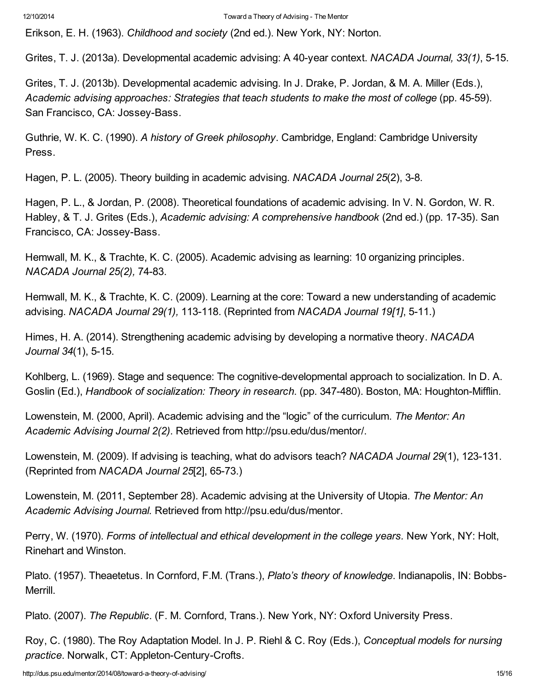Erikson, E. H. (1963). *Childhood and society* (2nd ed.). New York, NY: Norton.

Grites, T. J. (2013a). Developmental academic advising: A 40year context. *NACADA Journal, 33(1)*, 515.

Grites, T. J. (2013b). Developmental academic advising. In J. Drake, P. Jordan, & M. A. Miller (Eds.), *Academic advising approaches: Strategies that teach students to make the most of college* (pp. 4559). San Francisco, CA: Jossey-Bass.

Guthrie, W. K. C. (1990). *A history of Greek philosophy*. Cambridge, England: Cambridge University Press.

Hagen, P. L. (2005). Theory building in academic advising. *NACADA Journal* 25(2), 3-8.

Hagen, P. L., & Jordan, P. (2008). Theoretical foundations of academic advising. In V. N. Gordon, W. R. Habley, & T. J. Grites (Eds.), *Academic advising: A comprehensive handbook* (2nd ed.) (pp. 17-35). San Francisco, CA: Jossey-Bass.

Hemwall, M. K., & Trachte, K. C. (2005). Academic advising as learning: 10 organizing principles. *NACADA Journal* 25(2), 74-83.

Hemwall, M. K., & Trachte, K. C. (2009). Learning at the core: Toward a new understanding of academic advising. *NACADA Journal 29(1),* 113118. (Reprinted from *NACADA Journal 19[1]*, 511.)

Himes, H. A. (2014). Strengthening academic advising by developing a normative theory. *NACADA Journal* 34(1), 5-15.

Kohlberg, L. (1969). Stage and sequence: The cognitive-developmental approach to socialization. In D. A. Goslin (Ed.), *Handbook of socialization: Theory in research.* (pp. 347-480). Boston, MA: Houghton-Mifflin.

Lowenstein, M. (2000, April). Academic advising and the "logic" of the curriculum. *The Mentor: An Academic Advising Journal 2(2)*. Retrieved from [http://psu.edu/dus/mentor/.](http://psu.edu/dus/mentor/)

Lowenstein, M. (2009). If advising is teaching, what do advisors teach? *NACADA Journal* 29(1), 123-131. (Reprinted from *NACADA Journal 25*[2], 6573.)

Lowenstein, M. (2011, September 28). Academic advising at the University of Utopia. *The Mentor: An Academic Advising Journal.* Retrieved from [http://psu.edu/dus/mentor](http://psu.edu/dus/mentor/).

Perry, W. (1970). *Forms of intellectual and ethical development in the college years.* New York, NY: Holt, Rinehart and Winston.

Plato. (1957). Theaetetus. In Cornford, F.M. (Trans.), *Plato's theory of knowledge*. Indianapolis, IN: Bobbs-Merrill.

Plato. (2007). *The Republic*. (F. M. Cornford, Trans.). New York, NY: Oxford University Press.

Roy, C. (1980). The Roy Adaptation Model. In J. P. Riehl & C. Roy (Eds.), *Conceptual models for nursing practice*. Norwalk, CT: Appleton-Century-Crofts.